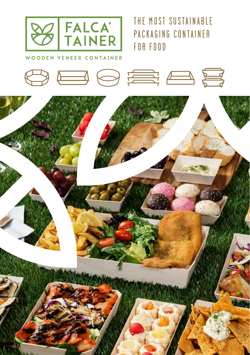

THE MOST SUSTAINARLE PACKAGING CONTAINER FOR FOOD

WOODEN VENEER CONTAINER

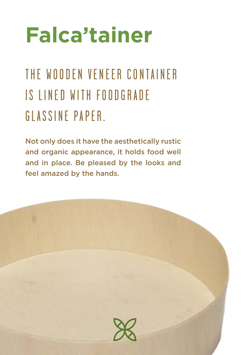# **Falca'tainer**

### THE WOODEN VENEER CONTAINER IS LINED WITH FOODGRADE GLASSINE PAPER.

Not only does it have the aesthetically rustic and organic appearance, it holds food well and in place. Be pleased by the looks and feel amazed by the hands.

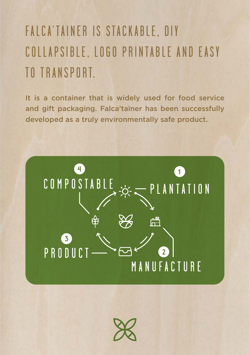### FALCA'TAINER IS STACKABLE, DIY COLLAPSIBLE, LOGO PRINTABLE AND EASY TO TRANSPORT.

It is a container that is widely used for food service and gift packaging. Falca'tainer has been successfully developed as a truly environmentally safe product.

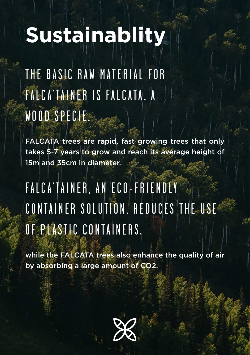# **Sustainablity**

THE BASIC RAW MATERIAL FOR FALCA'TAINER IS FALCATA, A WOOD SPECIE.

FALCATA trees are rapid, fast growing trees that only takes 5-7 years to grow and reach its average height of 15m and 35cm in diameter.

### FALCA'TAINER, AN ECO-FRIENDLY CONTAINER SOLUTION, REDUCES THE USE OF PLASTIC CONTAINERS.

while the FALCATA trees also enhance the quality of air by absorbing a large amount of CO2.

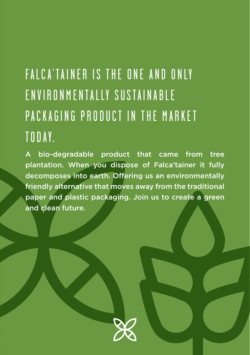### FALCA'TAINER IS THE ONE AND ONLY ENVIRONMENTALLY SUSTAINABLE PACKAGING PRODUCT IN THE MARKET TODAY.

A bio-degradable product that came from tree plantation. When you dispose of Falca'tainer it fully decomposes into earth. Offering us an environmentally friendly alternative that moves away from the traditional paper and plastic packaging. Join us to create a green and clean future.

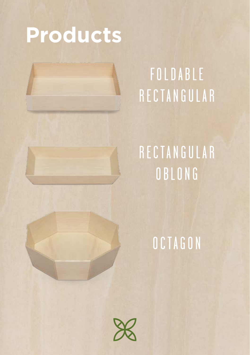# **Products**



## R E C T A N G U L A R **OBLONG**

### OCTAGON

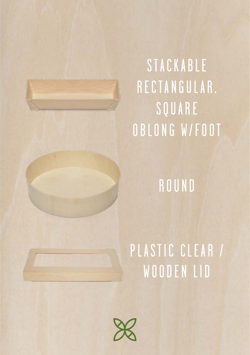# **STACKABLE** RECTANGULAR. SQUARE OBLONG W/FOOT

**ROUND** 

## PLASTIC CLEAR / WOODEN LID